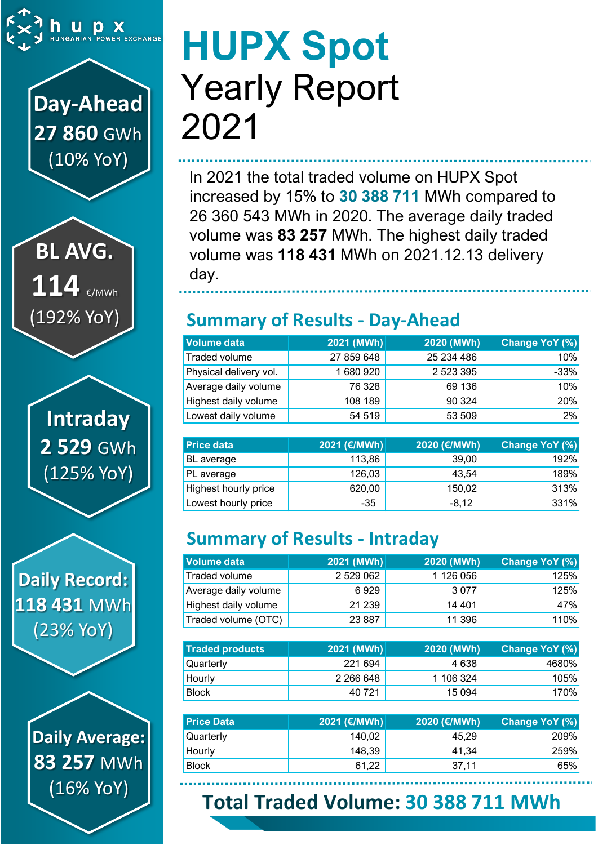

**Day-Ahead 27 860** GWh (10% YoY)

**BL AVG. 114** €/MWh (192% YoY)

**Intraday 2 529** GWh (125% YoY)

**Daily Record: 118 431** MWh (23% YoY)

> **Daily Average: 83 257** MWh (16% YoY)

# **HUPX Spot** Yearly Report 2021

In 2021 the total traded volume on HUPX Spot increased by 15% to **30 388 711** MWh compared to 26 360 543 MWh in 2020. The average daily traded volume was **83 257** MWh. The highest daily traded volume was **118 431** MWh on 2021.12.13 delivery day.

## **Summary of Results - Day-Ahead**

| <b>Volume data</b>     | $ 2021$ (MWh) $ $ | 2020 (MWh) | Change YoY (%) |
|------------------------|-------------------|------------|----------------|
| Traded volume          | 27 859 648        | 25 234 486 | 10%            |
| Physical delivery vol. | 1680920           | 2 523 395  | $-33%$         |
| Average daily volume   | 76 328            | 69 136     | 10%            |
| Highest daily volume   | 108 189           | 90 324     | 20%            |
| Lowest daily volume    | 54 519            | 53 509     | 2%             |

| <b>Price data</b>           | 2021 (€/MWh) | 2020 (€/MWh) | <b>Change YoY (%)</b> |
|-----------------------------|--------------|--------------|-----------------------|
| <b>BL</b> average           | 113,86       | 39,00        | <b>192%</b>           |
| PL average                  | 126,03       | 43,54        | 189%                  |
| <b>Highest hourly price</b> | 620,00       | 150,02       | 313%                  |
| Lowest hourly price         | $-35$        | $-8,12$      | 331%                  |

## **Summary of Results - Intraday**

| Volume data          | 2021 (MWh) | 2020 (MWh) | Change YoY (%) |
|----------------------|------------|------------|----------------|
| Traded volume        | 2 529 062  | 1 126 056  | 125%           |
| Average daily volume | 6929       | 3 0 7 7    | <b>125%</b>    |
| Highest daily volume | 21 239     | 14 401     | 47%            |
| Traded volume (OTC)  | 23 8 87    | 11 396     | <b>110%</b>    |

| <b>Traded products</b> | 2021 (MWh) | 2020 (MWh) | <b>Change YoY (%)</b> |
|------------------------|------------|------------|-----------------------|
| <b>Quarterly</b>       | 221 694    | 4 6 3 8    | 4680%                 |
| Hourly                 | 2 266 648  | 1 106 324  | 105%                  |
| <b>Block</b>           | 40 721     | 15 0 94    | 170%                  |

| <b>Price Data</b> | 2021 (€/MWh) | 2020 (€/MWh) | Change YoY (%) |
|-------------------|--------------|--------------|----------------|
| Quarterly         | 140.02       | 45.29        | <b>209%</b>    |
| Hourly            | 148,39       | 41.34        | 259%           |
| <b>Block</b>      | 61,22        | 37.11        | 65%            |

## **Total Traded Volume: 30 388 711 MWh**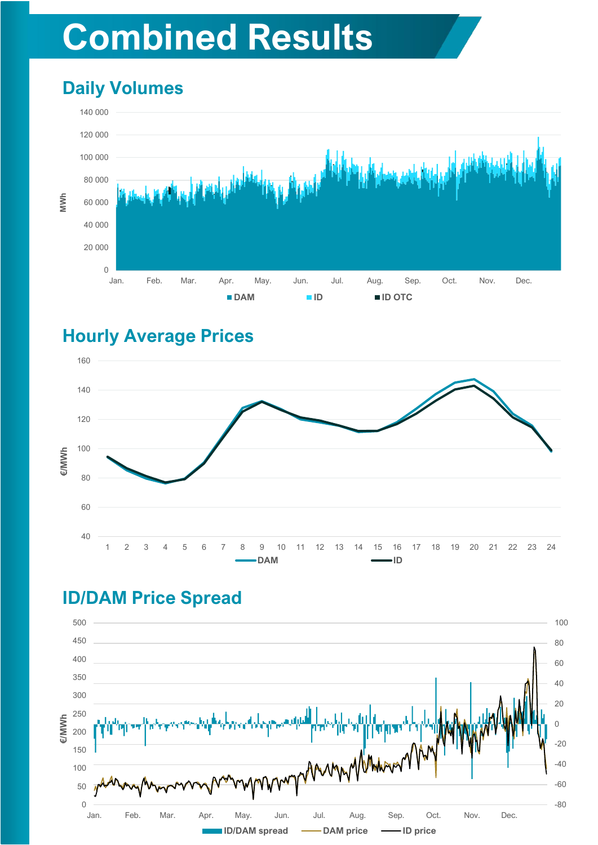## **Combined Results**

## **Daily Volumes**



#### **Hourly Average Prices**



#### **ID/DAM Price Spread**

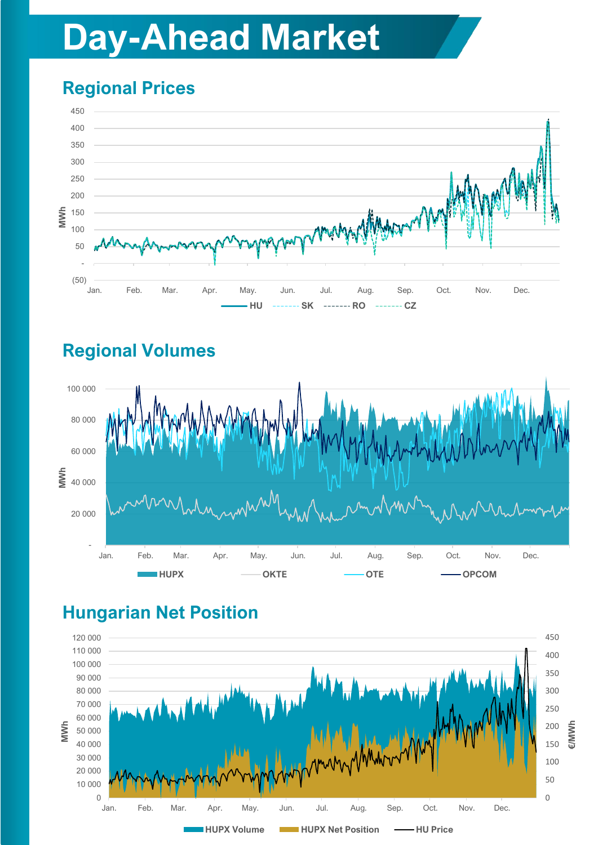## **Day-Ahead Market**

## **Regional Prices**



## **Regional Volumes**



## **Hungarian Net Position**

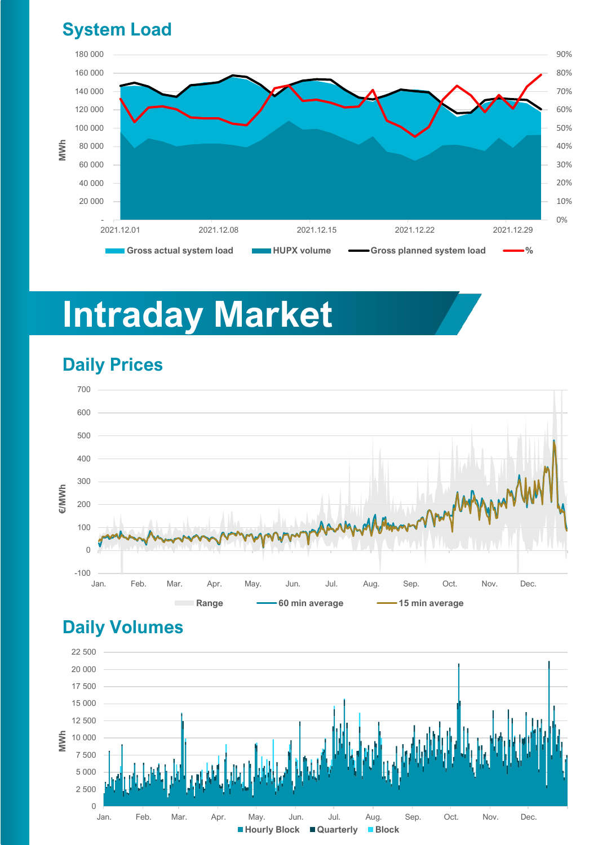#### **System Load**



## **Intraday Market**

### **Daily Prices**



#### **Daily Volumes**